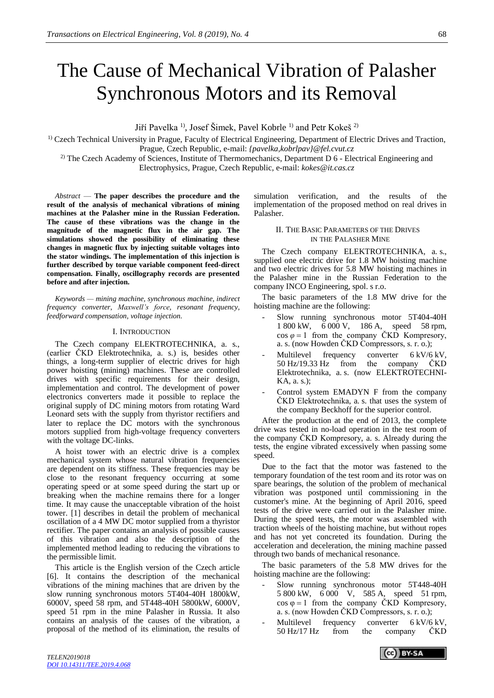# The Cause of Mechanical Vibration of Palasher Synchronous Motors and its Removal

Jiří Pavelka<sup>1</sup>), Josef Šimek, Pavel Kobrle<sup>1)</sup> and Petr Kokeš<sup>2)</sup>

<sup>1)</sup> Czech Technical University in Prague, Faculty of Electrical Engineering, Department of Electric Drives and Traction, Prague, Czech Republic, e-mail: *{pavelka,kobrlpav}@fel.cvut.cz*

<sup>2)</sup> The Czech Academy of Sciences, Institute of Thermomechanics, Department D 6 - Electrical Engineering and Electrophysics, Prague, Czech Republic, e-mail: *kokes@it.cas.cz*

*Abstract* — **The paper describes the procedure and the result of the analysis of mechanical vibrations of mining machines at the Palasher mine in the Russian Federation. The cause of these vibrations was the change in the magnitude of the magnetic flux in the air gap. The simulations showed the possibility of eliminating these changes in magnetic flux by injecting suitable voltages into the stator windings. The implementation of this injection is further described by torque variable component feed-direct compensation. Finally, oscillography records are presented before and after injection.**

*Keywords — mining machine, synchronous machine, indirect frequency converter, Maxwell's force, resonant frequency, feedforward compensation, voltage injection.*

#### I. INTRODUCTION

The Czech company ELEKTROTECHNIKA, a. s., (earlier ČKD Elektrotechnika, a. s.) is, besides other things, a long-term supplier of electric drives for high power hoisting (mining) machines. These are controlled drives with specific requirements for their design, implementation and control. The development of power electronics converters made it possible to replace the original supply of DC mining motors from rotating Ward Leonard sets with the supply from thyristor rectifiers and later to replace the DC motors with the synchronous motors supplied from high-voltage frequency converters with the voltage DC-links.

A hoist tower with an electric drive is a complex mechanical system whose natural vibration frequencies are dependent on its stiffness. These frequencies may be close to the resonant frequency occurring at some operating speed or at some speed during the start up or breaking when the machine remains there for a longer time. It may cause the unacceptable vibration of the hoist tower. [1] describes in detail the problem of mechanical oscillation of a 4 MW DC motor supplied from a thyristor rectifier. The paper contains an analysis of possible causes of this vibration and also the description of the implemented method leading to reducing the vibrations to the permissible limit.

This article is the English version of the Czech article [6]. It contains the description of the mechanical vibrations of the mining machines that are driven by the slow running synchronous motors 5T404-40H 1800kW, 6000V, speed 58 rpm, and 5T448-40H 5800kW, 6000V, speed 51 rpm in the mine Palasher in Russia. It also contains an analysis of the causes of the vibration, a proposal of the method of its elimination, the results of simulation verification, and the results of the implementation of the proposed method on real drives in Palasher.

#### II. THE BASIC PARAMETERS OF THE DRIVES IN THE PALASHER MINE

The Czech company ELEKTROTECHNIKA, a. s., supplied one electric drive for 1.8 MW hoisting machine and two electric drives for 5.8 MW hoisting machines in the Palasher mine in the Russian Federation to the company INCO Engineering, spol. s r.o.

The basic parameters of the 1.8 MW drive for the hoisting machine are the following:

- Slow running synchronous motor 5T404-40H 1 800 kW, 6 000 V, 186 A, speed 58 rpm,  $\cos \varphi = 1$  from the company ČKD Kompresory, a. s. (now Howden ČKD Compressors, s. r. o.);
- Multilevel frequency converter 6 kV/6 kV,<br>50 Hz/19.33 Hz from the company ČKD the company ČKD Elektrotechnika, a. s. (now ELEKTROTECHNI-KA, a. s.);
- Control system EMADYN F from the company ČKD Elektrotechnika, a. s. that uses the system of the company Beckhoff for the superior control.

After the production at the end of 2013, the complete drive was tested in no-load operation in the test room of the company ČKD Kompresory, a. s. Already during the tests, the engine vibrated excessively when passing some speed.

Due to the fact that the motor was fastened to the temporary foundation of the test room and its rotor was on spare bearings, the solution of the problem of mechanical vibration was postponed until commissioning in the customer's mine. At the beginning of April 2016, speed tests of the drive were carried out in the Palasher mine. During the speed tests, the motor was assembled with traction wheels of the hoisting machine, but without ropes and has not yet concreted its foundation. During the acceleration and deceleration, the mining machine passed through two bands of mechanical resonance.

The basic parameters of the 5.8 MW drives for the hoisting machine are the following:

- Slow running synchronous motor 5T448-40H 5 800 kW, 6 000 V, 585 A, speed 51 rpm,  $\cos \varphi = 1$  from the company ČKD Kompresory, a. s. (now Howden ČKD Compressors, s. r. o.);
- Multilevel frequency converter 6 kV/6 kV, 50 Hz/17 Hz from the company ČKD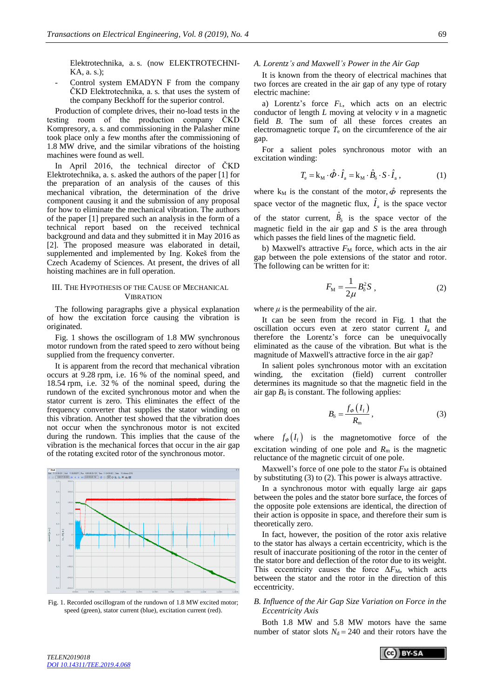Elektrotechnika, a. s. (now ELEKTROTECHNI-KA, a. s.);

Control system EMADYN F from the company ČKD Elektrotechnika, a. s. that uses the system of the company Beckhoff for the superior control.

Production of complete drives, their no-load tests in the testing room of the production company ČKD Kompresory, a. s. and commissioning in the Palasher mine took place only a few months after the commissioning of 1.8 MW drive, and the similar vibrations of the hoisting machines were found as well.

In April 2016, the technical director of ČKD Elektrotechnika, a. s. asked the authors of the paper [1] for the preparation of an analysis of the causes of this mechanical vibration, the determination of the drive component causing it and the submission of any proposal for how to eliminate the mechanical vibration. The authors of the paper [1] prepared such an analysis in the form of a technical report based on the received technical background and data and they submitted it in May 2016 as [2]. The proposed measure was elaborated in detail, supplemented and implemented by Ing. Kokeš from the Czech Academy of Sciences. At present, the drives of all hoisting machines are in full operation.

## III. THE HYPOTHESIS OF THE CAUSE OF MECHANICAL **VIBRATION**

The following paragraphs give a physical explanation of how the excitation force causing the vibration is originated.

Fig. 1 shows the oscillogram of 1.8 MW synchronous motor rundown from the rated speed to zero without being supplied from the frequency converter.

It is apparent from the record that mechanical vibration occurs at 9.28 rpm, i.e. 16 % of the nominal speed, and 18.54 rpm, i.e. 32 % of the nominal speed, during the rundown of the excited synchronous motor and when the stator current is zero. This eliminates the effect of the frequency converter that supplies the stator winding on this vibration. Another test showed that the vibration does not occur when the synchronous motor is not excited during the rundown. This implies that the cause of the vibration is the mechanical forces that occur in the air gap of the rotating excited rotor of the synchronous motor.



Fig. 1. Recorded oscillogram of the rundown of 1.8 MW excited motor; speed (green), stator current (blue), excitation current (red).

#### *A. Lorentz's and Maxwell's Power in the Air Gap*

It is known from the theory of electrical machines that two forces are created in the air gap of any type of rotary electric machine:

a) Lorentz's force *F*L, which acts on an electric conductor of length *L* moving at velocity *v* in a magnetic field *B*. The sum of all these forces creates an electromagnetic torque  $T_e$  on the circumference of the air gap.

For a salient poles synchronous motor with an excitation winding:

$$
T_{\rm e} = \mathbf{k}_{\rm M} \cdot \hat{\boldsymbol{\Phi}} \cdot \hat{\boldsymbol{I}}_{\rm a} = \mathbf{k}_{\rm M} \cdot \hat{\boldsymbol{B}}_{\rm \delta} \cdot \mathbf{S} \cdot \hat{\boldsymbol{I}}_{\rm a} , \qquad (1)
$$

where  $k_M$  is the constant of the motor,  $\hat{\phi}$  represents the space vector of the magnetic flux,  $\hat{I}_a$  is the space vector of the stator current,  $\hat{B}_\delta$  is the space vector of the magnetic field in the air gap and *S* is the area through which passes the field lines of the magnetic field.

b) Maxwell's attractive  $F<sub>M</sub>$  force, which acts in the air gap between the pole extensions of the stator and rotor. The following can be written for it:

$$
F_{\rm M} = \frac{1}{2\mu} B_{\delta}^2 S \tag{2}
$$

where  $\mu$  is the permeability of the air.

It can be seen from the record in Fig. 1 that the oscillation occurs even at zero stator current *I*<sup>a</sup> and therefore the Lorentz's force can be unequivocally eliminated as the cause of the vibration. But what is the magnitude of Maxwell's attractive force in the air gap?

In salient poles synchronous motor with an excitation winding, the excitation (field) current controller determines its magnitude so that the magnetic field in the air gap  $B_{\delta}$  is constant. The following applies:

$$
B_{\delta} = \frac{f_{\phi}\left(I_{\rm f}\right)}{R_{\rm m}},\tag{3}
$$

where  $f_{\phi}(I_{f})$  is the magnetomotive force of the excitation winding of one pole and  $R<sub>m</sub>$  is the magnetic reluctance of the magnetic circuit of one pole.

Maxwell's force of one pole to the stator  $F_M$  is obtained by substituting (3) to (2). This power is always attractive.

In a synchronous motor with equally large air gaps between the poles and the stator bore surface, the forces of the opposite pole extensions are identical, the direction of their action is opposite in space, and therefore their sum is theoretically zero.

In fact, however, the position of the rotor axis relative to the stator has always a certain eccentricity, which is the result of inaccurate positioning of the rotor in the center of the stator bore and deflection of the rotor due to its weight. This eccentricity causes the force  $\Delta F$ <sub>M</sub>, which acts between the stator and the rotor in the direction of this eccentricity.

## *B. Influence of the Air Gap Size Variation on Force in the Eccentricity Axis*

Both 1.8 MW and 5.8 MW motors have the same number of stator slots  $N_d = 240$  and their rotors have the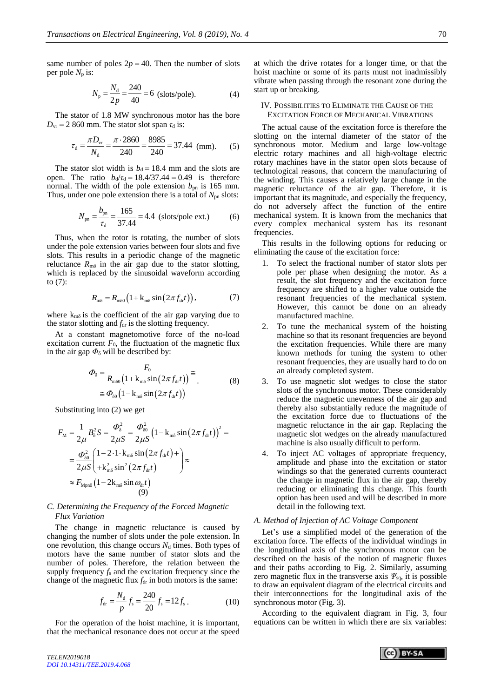same number of poles  $2p = 40$ . Then the number of slots per pole  $N_p$  is:

$$
N_{\rm p} = \frac{N_{\rm d}}{2p} = \frac{240}{40} = 6 \text{ (slots/pole)}.
$$
 (4)

The stator of 1.8 MW synchronous motor has the bore  $D_{vr}$  = 2 860 mm. The stator slot span  $\tau_d$  is:

$$
\tau_{\rm d} = \frac{\pi D_{\rm vr}}{N_{\rm d}} = \frac{\pi \cdot 2860}{240} = \frac{8985}{240} = 37.44 \text{ (mm)}.
$$
 (5)

The stator slot width is  $b_d = 18.4$  mm and the slots are open. The ratio  $b_d/\tau_d = 18.4/37.44 = 0.49$  is therefore normal. The width of the pole extension  $b_{\rm pn}$  is 165 mm. Thus, under one pole extension there is a total of *N*<sub>pn</sub> slots:

$$
N_{\rm pn} = \frac{b_{\rm pn}}{\tau_{\rm d}} = \frac{165}{37.44} = 4.4 \text{ (slots/pole ext.)}
$$
 (6)

Thus, when the rotor is rotating, the number of slots under the pole extension varies between four slots and five slots. This results in a periodic change of the magnetic reluctance  $R_{m\delta}$  in the air gap due to the stator slotting, which is replaced by the sinusoidal waveform according to (7):

$$
R_{m\delta} = R_{m\delta 0} \left( 1 + k_{m\delta} \sin \left( 2\pi f_{\text{dr}} t \right) \right), \tag{7}
$$

where  $k_{m\delta}$  is the coefficient of the air gap varying due to the stator slotting and  $f_{dr}$  is the slotting frequency.

At a constant magnetomotive force of the no-load excitation current  $F_0$ , the fluctuation of the magnetic flux in the air gap  $\Phi_{\delta}$  will be described by:

$$
\Phi_{\delta} = \frac{F_0}{R_{\text{m\delta 0}} \left(1 + k_{\text{m\delta}} \sin\left(2\pi f_{\text{dr}}t\right)\right)} \approx \approx \Phi_{\text{a0}} \left(1 - k_{\text{m\delta}} \sin\left(2\pi f_{\text{dr}}t\right)\right)
$$
\n(8)

Substituting into (2) we get

$$
F_{\rm M} = \frac{1}{2\mu} B_{\delta}^{2} S = \frac{\Phi_{\delta}^{2}}{2\mu S} = \frac{\Phi_{\delta 0}^{2}}{2\mu S} \left(1 - k_{\rm m\delta} \sin\left(2\pi f_{\rm dr}t\right)\right)^{2} =
$$
  
=  $\frac{\Phi_{\delta 0}^{2}}{2\mu S} \left(\frac{1 - 2 \cdot 1 \cdot k_{\rm m\delta} \sin\left(2\pi f_{\rm dr}t\right) + 2 \cdot 2 \cdot 1 \cdot k_{\rm m\delta} \sin^{2}\left(2\pi f_{\rm dr}t\right)}{2\mu S \left(1 - 2k_{\rm m\delta} \sin \omega_{\rm dr}t\right)} \approx$   
 $\approx F_{\rm Mpn0} \left(1 - 2k_{\rm m\delta} \sin \omega_{\rm dr}t\right)$  (9)

## *C. Determining the Frequency of the Forced Magnetic Flux Variation*

The change in magnetic reluctance is caused by changing the number of slots under the pole extension. In one revolution, this change occurs  $N_d$  times. Both types of motors have the same number of stator slots and the number of poles. Therefore, the relation between the supply frequency  $f_s$  and the excitation frequency since the change of the magnetic flux  $f_{dr}$  in both motors is the same:

$$
f_{\rm dr} = \frac{N_{\rm d}}{p} f_{\rm s} = \frac{240}{20} f_{\rm s} = 12 f_{\rm s} \,. \tag{10}
$$

For the operation of the hoist machine, it is important, that the mechanical resonance does not occur at the speed

at which the drive rotates for a longer time, or that the hoist machine or some of its parts must not inadmissibly vibrate when passing through the resonant zone during the start up or breaking.

#### IV. POSSIBILITIES TO ELIMINATE THE CAUSE OF THE EXCITATION FORCE OF MECHANICAL VIBRATIONS

The actual cause of the excitation force is therefore the slotting on the internal diameter of the stator of the synchronous motor. Medium and large low-voltage electric rotary machines and all high-voltage electric rotary machines have in the stator open slots because of technological reasons, that concern the manufacturing of the winding. This causes a relatively large change in the magnetic reluctance of the air gap. Therefore, it is important that its magnitude, and especially the frequency, do not adversely affect the function of the entire mechanical system. It is known from the mechanics that every complex mechanical system has its resonant frequencies.

This results in the following options for reducing or eliminating the cause of the excitation force:

- 1. To select the fractional number of stator slots per pole per phase when designing the motor. As a result, the slot frequency and the excitation force frequency are shifted to a higher value outside the resonant frequencies of the mechanical system. However, this cannot be done on an already manufactured machine.
- 2. To tune the mechanical system of the hoisting machine so that its resonant frequencies are beyond the excitation frequencies. While there are many known methods for tuning the system to other resonant frequencies, they are usually hard to do on an already completed system.
- 3. To use magnetic slot wedges to close the stator slots of the synchronous motor. These considerably reduce the magnetic unevenness of the air gap and thereby also substantially reduce the magnitude of the excitation force due to fluctuations of the magnetic reluctance in the air gap. Replacing the magnetic slot wedges on the already manufactured machine is also usually difficult to perform.
- 4. To inject AC voltages of appropriate frequency, amplitude and phase into the excitation or stator windings so that the generated currents counteract the change in magnetic flux in the air gap, thereby reducing or eliminating this change. This fourth option has been used and will be described in more detail in the following text.

## *A. Method of Injection of AC Voltage Component*

Let's use a simplified model of the generation of the excitation force. The effects of the individual windings in the longitudinal axis of the synchronous motor can be described on the basis of the notion of magnetic fluxes and their paths according to Fig. 2. Similarly, assuming zero magnetic flux in the transverse axis *Ψ*sq, it is possible to draw an equivalent diagram of the electrical circuits and their interconnections for the longitudinal axis of the synchronous motor (Fig. 3).

According to the equivalent diagram in Fig. 3, four equations can be written in which there are six variables:

*TELEN2019018 [DOI 10.14311/TEE.2019.4.068](https://doi.org/10.14311/TEE.2019.4.068)*

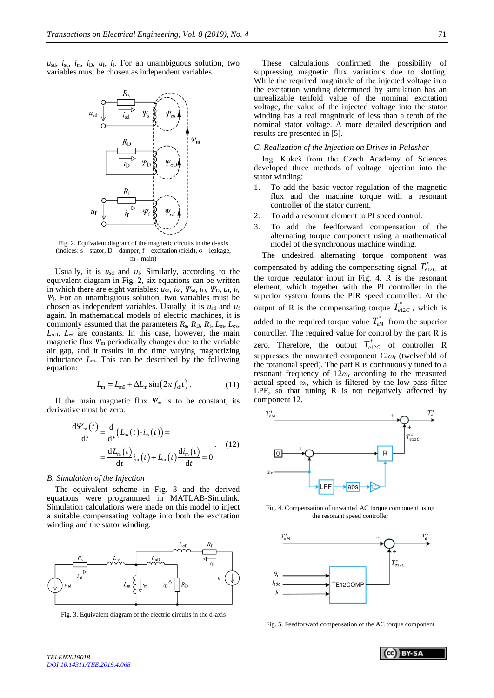$u_{sd}$ ,  $i_{sd}$ ,  $i_{m}$ ,  $i_{D}$ ,  $u_{f}$ ,  $i_{f}$ . For an unambiguous solution, two variables must be chosen as independent variables.



Fig. 2. Equivalent diagram of the magnetic circuits in the d-axis (indices:  $s$  – stator, D – damper, f – excitation (field),  $\sigma$  – leakage,  $m - main$ 

Usually, it is  $u_{sd}$  and  $u_f$ . Similarly, according to the equivalent diagram in Fig. 2, six equations can be written in which there are eight variables:  $u_{sd}$ ,  $i_{sd}$ ,  $\psi_{sd}$ ,  $i_D$ ,  $\psi_D$ ,  $u_f$ ,  $i_f$ , *Ψ*f. For an unambiguous solution, two variables must be chosen as independent variables. Usually, it is  $u_{sd}$  and  $u_f$ again. In mathematical models of electric machines, it is commonly assumed that the parameters  $R_s$ ,  $R_D$ ,  $R_f$ ,  $L_m$ ,  $L_{\sigma s}$ , *L*σD, *L*σf are constants. In this case, however, the main magnetic flux  $\Psi_{\rm m}$  periodically changes due to the variable air gap, and it results in the time varying magnetizing inductance *L*m. This can be described by the following equation:

$$
L_{\rm m} = L_{\rm m0} + \Delta L_{\rm m} \sin(2\pi f_{\rm dr} t). \tag{11}
$$

If the main magnetic flux  $\Psi_m$  is to be constant, its derivative must be zero:

$$
\frac{d\mathcal{V}_{m}(t)}{dt} = \frac{d}{dt} (L_{m}(t) \cdot i_{m}(t)) =
$$
  
= 
$$
\frac{dL_{m}(t)}{dt} i_{m}(t) + L_{m}(t) \frac{di_{m}(t)}{dt} = 0
$$
 (12)

#### *B. Simulation of the Injection*

The equivalent scheme in Fig. 3 and the derived equations were programmed in MATLAB-Simulink. Simulation calculations were made on this model to inject a suitable compensating voltage into both the excitation winding and the stator winding.



Fig. 3. Equivalent diagram of the electric circuits in the d-axis

These calculations confirmed the possibility of suppressing magnetic flux variations due to slotting. While the required magnitude of the injected voltage into the excitation winding determined by simulation has an unrealizable tenfold value of the nominal excitation voltage, the value of the injected voltage into the stator winding has a real magnitude of less than a tenth of the nominal stator voltage. A more detailed description and results are presented in [5].

#### *C. Realization of the Injection on Drives in Palasher*

Ing. Kokeš from the Czech Academy of Sciences developed three methods of voltage injection into the stator winding:

- 1. To add the basic vector regulation of the magnetic flux and the machine torque with a resonant controller of the stator current.
- 2. To add a resonant element to PI speed control.
- 3. To add the feedforward compensation of the alternating torque component using a mathematical model of the synchronous machine winding.

The undesired alternating torque component was compensated by adding the compensating signal  $T_{e12C}^*$  at the torque regulator input in Fig. 4. R is the resonant element, which together with the PI controller in the superior system forms the PIR speed controller. At the output of R is the compensating torque  $T_{e12C}^*$ , which is added to the required torque value  $T_{eM}^*$  from the superior controller. The required value for control by the part R is zero. Therefore, the output  $T_{e12C}^*$  of controller R suppresses the unwanted component 12*ω*<sup>r</sup> (twelvefold of the rotational speed). The part R is continuously tuned to a resonant frequency of 12*ω*<sup>r</sup> according to the measured actual speed  $\omega_r$ , which is filtered by the low pass filter LPF, so that tuning R is not negatively affected by component 12.



Fig. 4. Compensation of unwanted AC torque component using the resonant speed controller



Fig. 5. Feedforward compensation of the AC torque component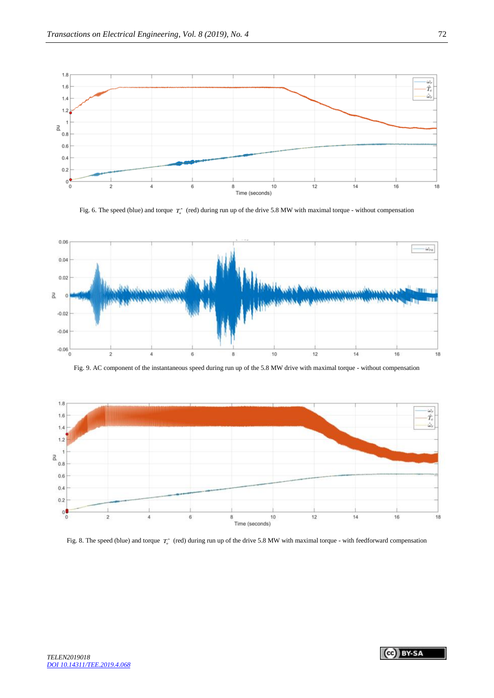

Fig. 6. The speed (blue) and torque  $T_c^*$  (red) during run up of the drive 5.8 MW with maximal torque - without compensation



Fig. 9. AC component of the instantaneous speed during run up of the 5.8 MW drive with maximal torque - without compensation



Fig. 8. The speed (blue) and torque  $T_c^*$  (red) during run up of the drive 5.8 MW with maximal torque - with feedforward compensation